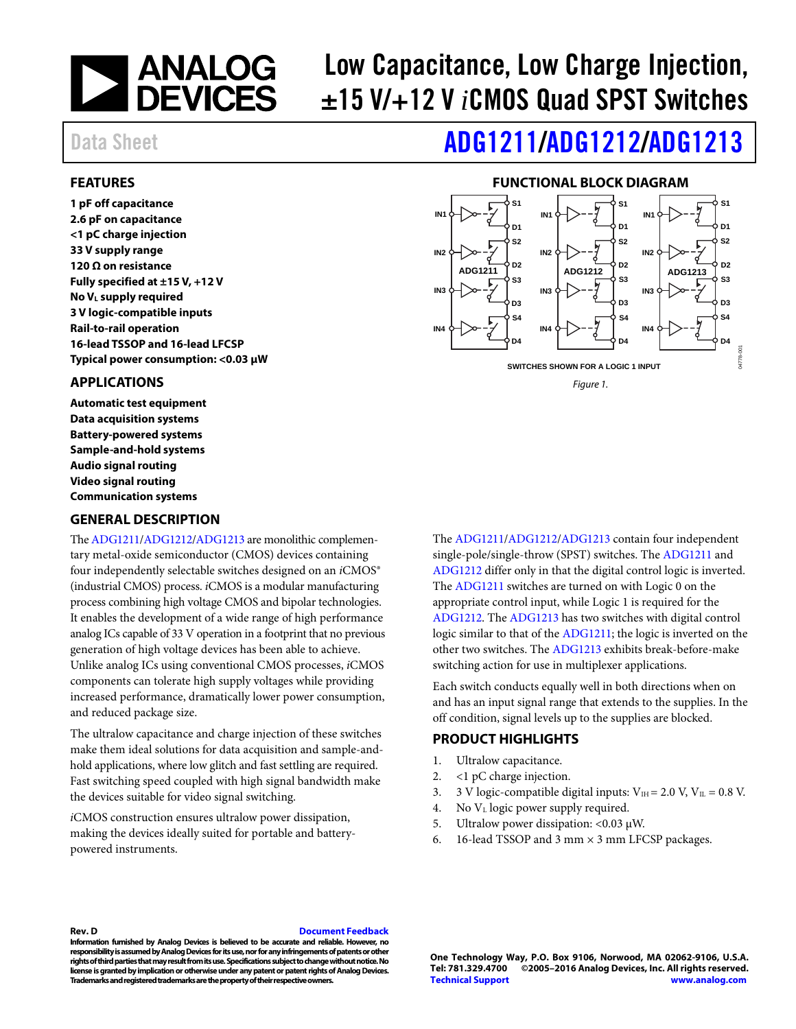

# Low Capacitance, Low Charge Injection, ±15 V/+12 V *i*CMOS Quad SPST Switches

# Data Sheet **[ADG1211/](http://www.analog.com/ADG1211?doc=ADG1211_1212_1213.pdf)[ADG1212/](http://www.analog.com/ADG1212?doc=ADG1211_1212_1213.pdf)[ADG1213](http://www.analog.com/ADG1213?doc=ADG1211_1212_1213.pdf)**

#### <span id="page-0-0"></span>**FEATURES**

**1 pF off capacitance 2.6 pF on capacitance <1 pC charge injection 33 V supply range 120 Ω on resistance Fully specified at ±15 V, +12 V No VL supply required 3 V logic-compatible inputs Rail-to-rail operation 16-lead TSSOP and 16-lead LFCSP Typical power consumption: <0.03 µW**

#### <span id="page-0-1"></span>**APPLICATIONS**

**Automatic test equipment Data acquisition systems Battery-powered systems Sample-and-hold systems Audio signal routing Video signal routing Communication systems**

#### <span id="page-0-3"></span>**GENERAL DESCRIPTION**

Th[e ADG1211](http://www.analog.com/ADG1211?doc=ADG1211_1212_1213.pdf)[/ADG1212](http://www.analog.com/ADG1212?doc=ADG1211_1212_1213.pdf)[/ADG1213](http://www.analog.com/ADG1213?doc=ADG1211_1212_1213.pdf) are monolithic complementary metal-oxide semiconductor (CMOS) devices containing four independently selectable switches designed on an *iCMOS®* (industrial CMOS) process. *i*CMOS is a modular manufacturing process combining high voltage CMOS and bipolar technologies. It enables the development of a wide range of high performance analog ICs capable of 33 V operation in a footprint that no previous generation of high voltage devices has been able to achieve. Unlike analog ICs using conventional CMOS processes, *i*CMOS components can tolerate high supply voltages while providing increased performance, dramatically lower power consumption, and reduced package size.

The ultralow capacitance and charge injection of these switches make them ideal solutions for data acquisition and sample-andhold applications, where low glitch and fast settling are required. Fast switching speed coupled with high signal bandwidth make the devices suitable for video signal switching.

*i*CMOS construction ensures ultralow power dissipation, making the devices ideally suited for portable and batterypowered instruments.

### **FUNCTIONAL BLOCK DIAGRAM**

<span id="page-0-2"></span>

*Figure 1.*

The [ADG1211](http://www.analog.com/ADG1211?doc=ADG1211_1212_1213.pdf)[/ADG1212/](http://www.analog.com/ADG1212?doc=ADG1211_1212_1213.pdf)[ADG1213](http://www.analog.com/ADG1213?doc=ADG1211_1212_1213.pdf) contain four independent single-pole/single-throw (SPST) switches. The [ADG1211](http://www.analog.com/ADG1211?doc=ADG1211_1212_1213.pdf) and [ADG1212](http://www.analog.com/ADG1212?doc=ADG1211_1212_1213.pdf) differ only in that the digital control logic is inverted. The [ADG1211](http://www.analog.com/ADG1211?doc=ADG1211_1212_1213.pdf) switches are turned on with Logic 0 on the appropriate control input, while Logic 1 is required for the [ADG1212.](http://www.analog.com/ADG1212?doc=ADG1211_1212_1213.pdf) Th[e ADG1213](http://www.analog.com/ADG1213?doc=ADG1211_1212_1213.pdf) has two switches with digital control logic similar to that of the [ADG1211;](http://www.analog.com/ADG1211?doc=ADG1211_1212_1213.pdf) the logic is inverted on the other two switches. The [ADG1213](http://www.analog.com/ADG1213?doc=ADG1211_1212_1213.pdf) exhibits break-before-make switching action for use in multiplexer applications.

Each switch conducts equally well in both directions when on and has an input signal range that extends to the supplies. In the off condition, signal levels up to the supplies are blocked.

#### <span id="page-0-4"></span>**PRODUCT HIGHLIGHTS**

- 1. Ultralow capacitance.
- 2. <1 pC charge injection.
- 3. 3 V logic-compatible digital inputs:  $V_{\text{H}} = 2.0$  V,  $V_{\text{IL}} = 0.8$  V.
- 4. No VL logic power supply required.
- 5. Ultralow power dissipation: <0.03  $\mu$ W.
- 6. 16-lead TSSOP and 3 mm  $\times$  3 mm LFCSP packages.

#### **Rev. D [Document Feedback](https://form.analog.com/Form_Pages/feedback/documentfeedback.aspx?doc=ADG1211_1212_1213.pdf&product=ADG1211%20ADG1212%20ADG1213&rev=D)**

**Information furnished by Analog Devices is believed to be accurate and reliable. However, no responsibility is assumed by Analog Devices for its use, nor for any infringements of patents or other rights of third parties that may result from its use. Specifications subject to change without notice. No license is granted by implication or otherwise under any patent or patent rights of Analog Devices. Trademarks and registered trademarks are the property of their respective owners.**

**One Technology Way, P.O. Box 9106, Norwood, MA 02062-9106, U.S.A. Tel: 781.329.4700 ©2005–2016 Analog Devices, Inc. All rights reserved. [Technical Support](http://www.analog.com/en/content/technical_support_page/fca.html) [www.analog.com](http://www.analog.com/)**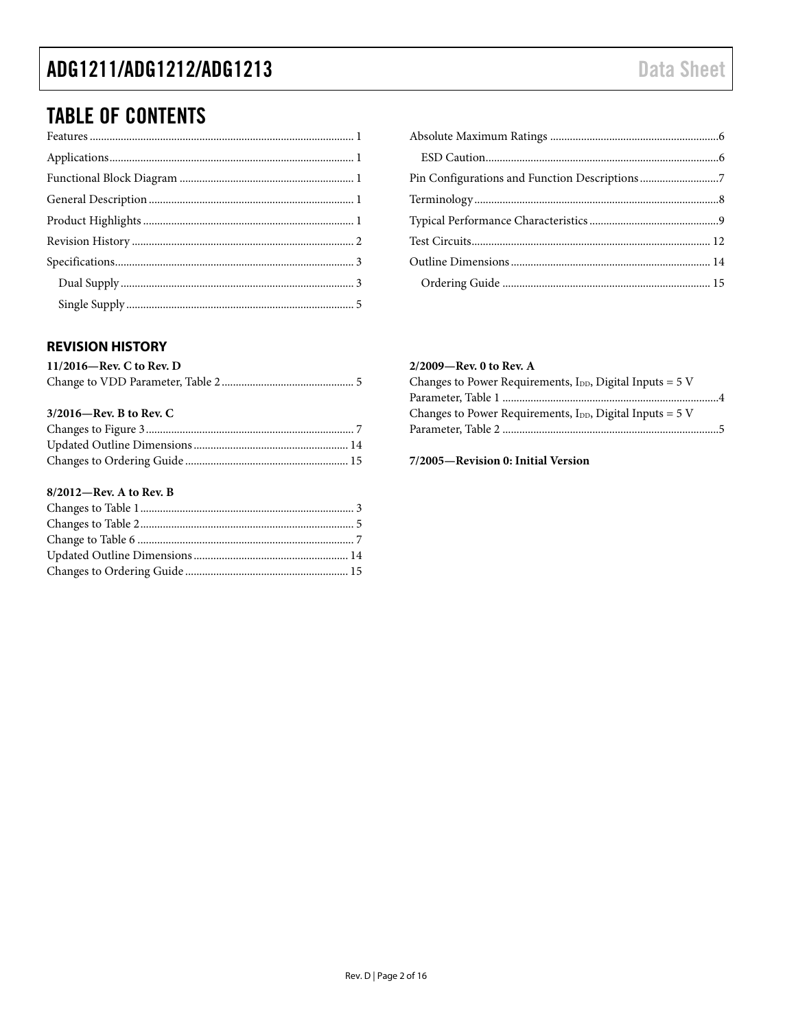### ADG1211/ADG1212/ADG1213

### **TABLE OF CONTENTS**

### 

### <span id="page-1-0"></span>**REVISION HISTORY**

| $11/2016$ —Rev. C to Rev. D |  |
|-----------------------------|--|
|                             |  |

#### $3/2016$ –Rev. B to Rev. C

#### $8/2012$ —Rev. A to Rev. B

#### 2/2009-Rev. 0 to Rev. A

| Changes to Power Requirements, $I_{DD}$ , Digital Inputs = 5 V |  |
|----------------------------------------------------------------|--|
|                                                                |  |
| Changes to Power Requirements, $I_{DD}$ , Digital Inputs = 5 V |  |
|                                                                |  |
|                                                                |  |

#### 7/2005-Revision 0: Initial Version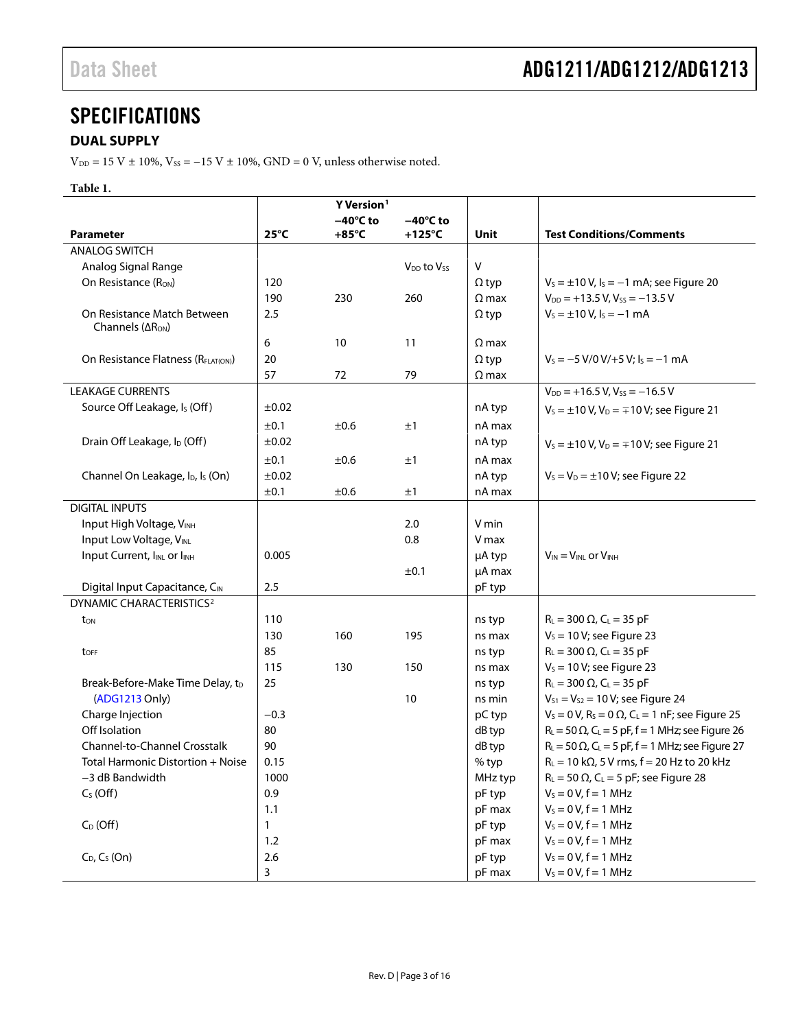### <span id="page-2-0"></span>**SPECIFICATIONS**

### <span id="page-2-1"></span>**DUAL SUPPLY**

 $\rm V_{\rm DD}$  = 15 V  $\pm$  10%, Vss = –15 V  $\pm$  10%, GND = 0 V, unless otherwise noted.

#### **Table 1.**

|                                                             |                | Y Version <sup>1</sup> |                                                            |              |                                                                                 |
|-------------------------------------------------------------|----------------|------------------------|------------------------------------------------------------|--------------|---------------------------------------------------------------------------------|
|                                                             |                | $-40^{\circ}$ C to     | $-40^{\circ}$ C to                                         |              |                                                                                 |
| <b>Parameter</b>                                            | $25^{\circ}$ C | $+85^{\circ}$ C        | $+125^{\circ}$ C                                           | Unit         | <b>Test Conditions/Comments</b>                                                 |
| <b>ANALOG SWITCH</b>                                        |                |                        |                                                            |              |                                                                                 |
| Analog Signal Range                                         |                |                        | V <sub>DD</sub> to V <sub>ss</sub>                         | v            |                                                                                 |
| On Resistance (Ron)                                         | 120            |                        |                                                            | $\Omega$ typ | $V_s = \pm 10 \text{ V}$ , $I_s = -1 \text{ mA}$ ; see Figure 20                |
|                                                             | 190            | 230                    | 260                                                        | $\Omega$ max | $V_{DD}$ = +13.5 V, V <sub>ss</sub> = -13.5 V                                   |
| On Resistance Match Between<br>Channels $( \Delta R_{ON} )$ | 2.5            |                        |                                                            | $\Omega$ typ | $V_s = \pm 10 V$ , $I_s = -1$ mA                                                |
|                                                             | 6              | 10                     | 11                                                         | $\Omega$ max |                                                                                 |
| On Resistance Flatness (RFLAT(ON))                          | 20             |                        |                                                            | $\Omega$ typ | $V_s = -5 V/0 V/ + 5 V$ ; $I_s = -1 mA$                                         |
|                                                             | 57             | 72                     | 79                                                         | $\Omega$ max |                                                                                 |
| <b>LEAKAGE CURRENTS</b>                                     |                |                        |                                                            |              | $V_{DD}$ = +16.5 V, Vss = -16.5 V                                               |
| Source Off Leakage, Is (Off)                                | ±0.02          |                        |                                                            | nA typ       | $V_s = \pm 10 V$ , $V_D = \mp 10 V$ ; see Figure 21                             |
|                                                             | ±0.1           | ±0.6                   | ±1                                                         | nA max       |                                                                                 |
| Drain Off Leakage, I <sub>D</sub> (Off)                     | ±0.02          |                        |                                                            | nA typ       | $V_s = \pm 10 V$ , $V_D = \mp 10 V$ ; see Figure 21                             |
|                                                             | ±0.1           | ±0.6                   | ±1                                                         | nA max       |                                                                                 |
| Channel On Leakage, I <sub>D</sub> , I <sub>s</sub> (On)    | ±0.02          |                        |                                                            | nA typ       | $V_s = V_D = \pm 10 V$ ; see Figure 22                                          |
|                                                             | ±0.1           | ±0.6                   | ±1                                                         | nA max       |                                                                                 |
| <b>DIGITAL INPUTS</b>                                       |                |                        |                                                            |              |                                                                                 |
| Input High Voltage, VINH                                    |                |                        | 2.0                                                        | V min        |                                                                                 |
| Input Low Voltage, VINL                                     |                |                        | 0.8                                                        | V max        |                                                                                 |
| Input Current, I <sub>INL</sub> or I <sub>INH</sub>         | 0.005          |                        |                                                            | µA typ       | $V_{IN} = V_{INL}$ or $V_{INH}$                                                 |
|                                                             |                |                        | ±0.1                                                       | µA max       |                                                                                 |
| Digital Input Capacitance, CIN                              | 2.5            |                        |                                                            | pF typ       |                                                                                 |
| <b>DYNAMIC CHARACTERISTICS<sup>2</sup></b>                  |                |                        |                                                            |              |                                                                                 |
| ton                                                         | 110            |                        |                                                            | ns typ       | $R_L = 300 \Omega$ , $C_L = 35 pF$                                              |
|                                                             | 130            | 160                    | 195                                                        | ns max       | $V_s = 10 V$ ; see Figure 23                                                    |
| toff                                                        | 85             |                        |                                                            | ns typ       | $R_L = 300 \Omega$ , $C_L = 35 pF$                                              |
|                                                             | 115            | 130                    | 150                                                        | ns max       | $V_s = 10 V$ ; see Figure 23                                                    |
| Break-Before-Make Time Delay, t <sub>D</sub>                | 25             |                        |                                                            | ns typ       | $R_{L} = 300 \Omega$ , C <sub>L</sub> = 35 pF                                   |
| (ADG1213 Only)                                              |                |                        | 10                                                         | ns min       | $V_{S1} = V_{S2} = 10 V$ ; see Figure 24                                        |
| Charge Injection                                            | $-0.3$         |                        |                                                            | pC typ       | $V_s = 0$ V, R <sub>s</sub> = 0 $\Omega$ , C <sub>L</sub> = 1 nF; see Figure 25 |
| Off Isolation                                               | 80             |                        |                                                            | dB typ       | $R_{L} = 50 \Omega$ , C <sub>L</sub> = 5 pF, f = 1 MHz; see Figure 26           |
| <b>Channel-to-Channel Crosstalk</b>                         | 90             |                        |                                                            | dB typ       | $R_L$ = 50 $\Omega$ , C <sub>L</sub> = 5 pF, f = 1 MHz; see Figure 27           |
| Total Harmonic Distortion + Noise                           | 0.15           |                        |                                                            | % typ        | $R_L = 10 k\Omega$ , 5 V rms, f = 20 Hz to 20 kHz                               |
| 1000<br>-3 dB Bandwidth                                     |                | MHz typ                | $R_L$ = 50 $\Omega$ , C <sub>L</sub> = 5 pF; see Figure 28 |              |                                                                                 |
| $C_S$ (Off)                                                 | 0.9            |                        |                                                            | pF typ       | $V_s = 0 V, f = 1 MHz$                                                          |
|                                                             | 1.1            |                        |                                                            | pF max       | $V_s = 0 V, f = 1 MHz$                                                          |
| $C_D$ (Off)                                                 | 1              |                        |                                                            | pF typ       | $V_s = 0 V, f = 1 MHz$                                                          |
|                                                             | 1.2            |                        |                                                            | pF max       | $V_S = 0 V, f = 1 MHz$                                                          |
| $C_D$ , $C_S$ (On)                                          | 2.6            |                        |                                                            | pF typ       | $V_s = 0 V, f = 1 MHz$                                                          |
|                                                             | 3              |                        |                                                            | pF max       | $V_s = 0 V, f = 1 MHz$                                                          |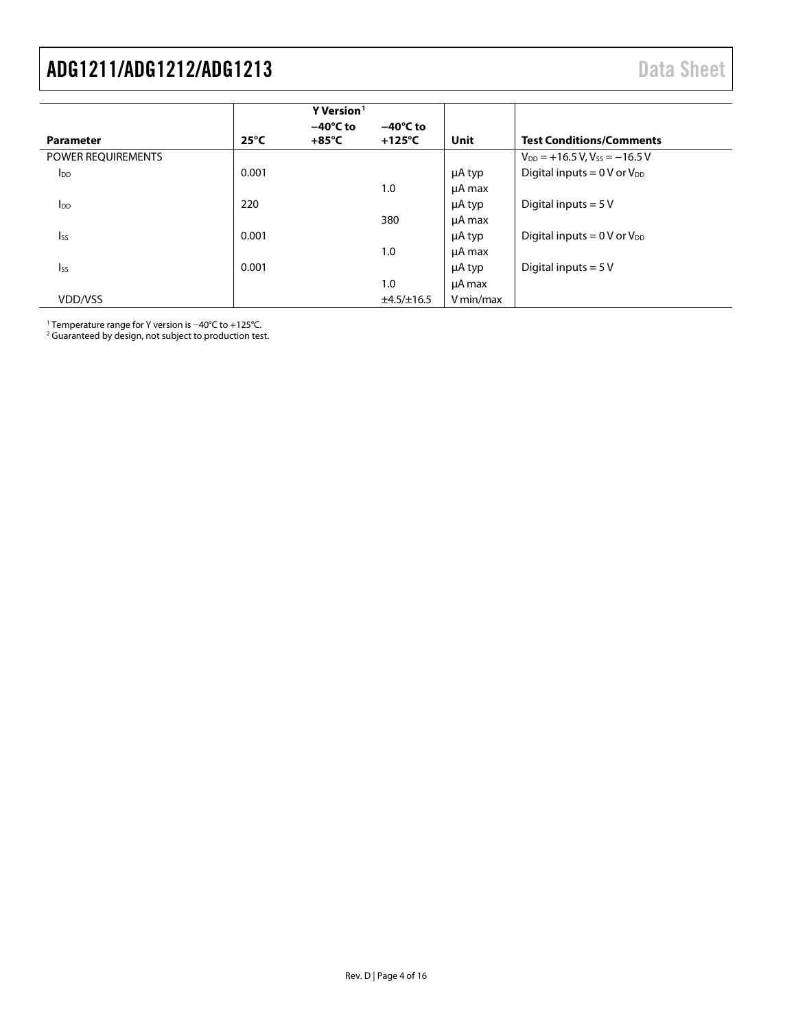<span id="page-3-0"></span>

|                    |                | Y Version <sup>1</sup>                |                                        |           |                                                  |
|--------------------|----------------|---------------------------------------|----------------------------------------|-----------|--------------------------------------------------|
| <b>Parameter</b>   | $25^{\circ}$ C | $-40^{\circ}$ C to<br>$+85^{\circ}$ C | $-40^{\circ}$ C to<br>$+125^{\circ}$ C | Unit      | <b>Test Conditions/Comments</b>                  |
| POWER REQUIREMENTS |                |                                       |                                        |           | $V_{DD}$ = +16.5 V, V <sub>ss</sub> = -16.5 V    |
| $I_{DD}$           | 0.001          |                                       |                                        | μA typ    | Digital inputs = $0 \text{ V or } V_{DD}$        |
|                    |                |                                       | 1.0                                    | µA max    |                                                  |
| $I_{DD}$           | 220            |                                       |                                        | μA typ    | Digital inputs $= 5V$                            |
|                    |                |                                       | 380                                    | µA max    |                                                  |
| $I_{SS}$           | 0.001          |                                       |                                        | μA typ    | Digital inputs = $0 \text{ V or } V_{\text{DD}}$ |
|                    |                |                                       | 1.0                                    | µA max    |                                                  |
| <b>I</b> ss        | 0.001          |                                       |                                        | μA typ    | Digital inputs $= 5V$                            |
|                    |                |                                       | 1.0                                    | µA max    |                                                  |
| VDD/VSS            |                |                                       | ±4.5/±16.5                             | V min/max |                                                  |

<sup>1</sup> Temperature range for Y version is −40°C to +125°C.

<sup>2</sup> Guaranteed by design, not subject to production test.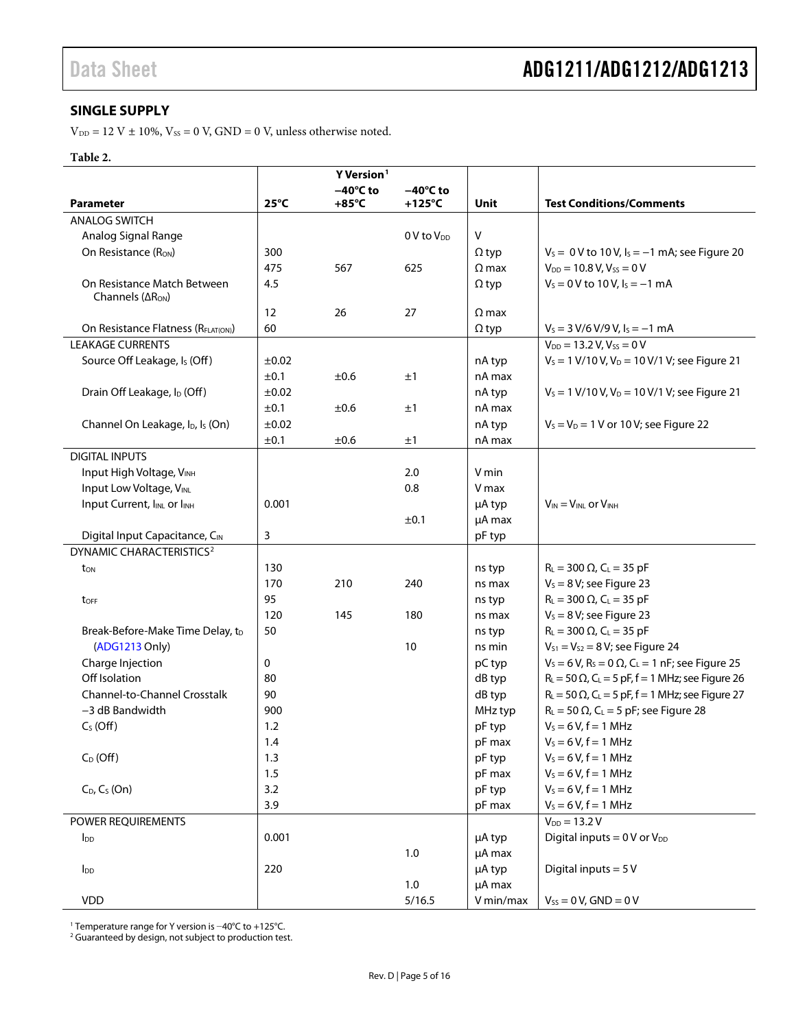### <span id="page-4-0"></span>**SINGLE SUPPLY**

 $V_{DD} = 12$  V  $\pm$  10%,  $V_{SS} = 0$  V, GND = 0 V, unless otherwise noted.

### **Table 2.**

| $-40^{\circ}$ C to<br>$-40^{\circ}$ C to<br>$25^{\circ}$ C<br>$+85^{\circ}$ C<br>$+125^{\circ}$ C<br><b>Test Conditions/Comments</b><br><b>Parameter</b><br>Unit<br><b>ANALOG SWITCH</b><br>$\vee$<br>Analog Signal Range<br>0 V to V <sub>DD</sub><br>$V_s = 0 V$ to 10 V, $I_s = -1$ mA; see Figure 20<br>On Resistance (R <sub>ON</sub> )<br>300<br>$\Omega$ typ<br>475<br>625<br>$V_{DD} = 10.8 V, V_{SS} = 0 V$<br>567<br>$\Omega$ max<br>$V_s = 0$ V to 10 V, $I_s = -1$ mA<br>On Resistance Match Between<br>4.5<br>$\Omega$ typ<br>Channels ( $\Delta$ R <sub>ON</sub> )<br>12<br>26<br>27<br>$\Omega$ max<br>On Resistance Flatness (RFLAT(ON))<br>60<br>$V_s = 3 V/6 V/9 V$ , $I_s = -1 mA$<br>$\Omega$ typ<br><b>LEAKAGE CURRENTS</b><br>$V_{DD} = 13.2 V, V_{SS} = 0 V$<br>Source Off Leakage, Is (Off)<br>$V_s = 1$ V/10 V, V <sub>D</sub> = 10 V/1 V; see Figure 21<br>±0.02<br>nA typ<br>±0.6<br>±1<br>nA max<br>±0.1<br>Drain Off Leakage, I <sub>D</sub> (Off)<br>$\pm 0.02$<br>$V_s = 1$ V/10 V, V <sub>D</sub> = 10 V/1 V; see Figure 21<br>nA typ<br>±0.1<br>±0.6<br>±1<br>nA max<br>Channel On Leakage, I <sub>D</sub> , I <sub>s</sub> (On)<br>±0.02<br>nA typ<br>$V_s = V_D = 1$ V or 10 V; see Figure 22<br>±0.1<br>±0.6<br>±1<br>nA max<br><b>DIGITAL INPUTS</b><br>Input High Voltage, VINH<br>2.0<br>V min<br>Input Low Voltage, VINL<br>0.8<br>V max<br>Input Current, I <sub>INL</sub> or I <sub>INH</sub><br>0.001<br>$V_{IN} = V_{INL}$ or $V_{INH}$<br>µA typ<br>µA max<br>±0.1<br>3<br>Digital Input Capacitance, CIN<br>pF typ<br>DYNAMIC CHARACTERISTICS <sup>2</sup><br>130<br>$R_L = 300 \Omega$ , $C_L = 35 pF$<br>ns typ<br>ton<br>170<br>210<br>240<br>$V_s = 8 V$ ; see Figure 23<br>ns max<br>95<br>$R_L = 300 \Omega$ , $C_L = 35 pF$<br>ns typ<br>toff<br>$V_s = 8 V$ ; see Figure 23<br>120<br>145<br>180<br>ns max<br>$R_L = 300 \Omega$ , $C_L = 35 pF$<br>50<br>Break-Before-Make Time Delay, t <sub>D</sub><br>ns typ<br>$V_{S1} = V_{S2} = 8 V$ ; see Figure 24<br>(ADG1213 Only)<br>10<br>ns min<br>$V_s = 6 V$ , R <sub>s</sub> = 0 $\Omega$ , C <sub>L</sub> = 1 nF; see Figure 25<br>Charge Injection<br>0<br>pC typ<br>Off Isolation<br>dB typ<br>$R_L$ = 50 $\Omega$ , C <sub>L</sub> = 5 pF, f = 1 MHz; see Figure 26<br>80<br>Channel-to-Channel Crosstalk<br>$R_{L} = 50 \Omega$ , C <sub>L</sub> = 5 pF, f = 1 MHz; see Figure 27<br>90<br>dB typ<br>-3 dB Bandwidth<br>900<br>MHz typ<br>$R_L = 50 \Omega$ , C <sub>L</sub> = 5 pF; see Figure 28<br>$V_5 = 6 V, f = 1 MHz$<br>$C_S$ (Off)<br>1.2<br>pF typ<br>1.4<br>pF max<br>$V_s = 6 V, f = 1 MHz$<br>$C_D$ (Off)<br>1.3<br>$V_s = 6 V, f = 1 MHz$<br>pF typ<br>$V_s = 6 V, f = 1 MHz$<br>1.5<br>pF max |  | Y Version <sup>1</sup> |  |  |
|--------------------------------------------------------------------------------------------------------------------------------------------------------------------------------------------------------------------------------------------------------------------------------------------------------------------------------------------------------------------------------------------------------------------------------------------------------------------------------------------------------------------------------------------------------------------------------------------------------------------------------------------------------------------------------------------------------------------------------------------------------------------------------------------------------------------------------------------------------------------------------------------------------------------------------------------------------------------------------------------------------------------------------------------------------------------------------------------------------------------------------------------------------------------------------------------------------------------------------------------------------------------------------------------------------------------------------------------------------------------------------------------------------------------------------------------------------------------------------------------------------------------------------------------------------------------------------------------------------------------------------------------------------------------------------------------------------------------------------------------------------------------------------------------------------------------------------------------------------------------------------------------------------------------------------------------------------------------------------------------------------------------------------------------------------------------------------------------------------------------------------------------------------------------------------------------------------------------------------------------------------------------------------------------------------------------------------------------------------------------------------------------------------------------------------------------------------------------------------------------------------------------------------------------------------------------------------------------------------------------------------------------------------------------------------------------------------------------------|--|------------------------|--|--|
|                                                                                                                                                                                                                                                                                                                                                                                                                                                                                                                                                                                                                                                                                                                                                                                                                                                                                                                                                                                                                                                                                                                                                                                                                                                                                                                                                                                                                                                                                                                                                                                                                                                                                                                                                                                                                                                                                                                                                                                                                                                                                                                                                                                                                                                                                                                                                                                                                                                                                                                                                                                                                                                                                                                          |  |                        |  |  |
|                                                                                                                                                                                                                                                                                                                                                                                                                                                                                                                                                                                                                                                                                                                                                                                                                                                                                                                                                                                                                                                                                                                                                                                                                                                                                                                                                                                                                                                                                                                                                                                                                                                                                                                                                                                                                                                                                                                                                                                                                                                                                                                                                                                                                                                                                                                                                                                                                                                                                                                                                                                                                                                                                                                          |  |                        |  |  |
|                                                                                                                                                                                                                                                                                                                                                                                                                                                                                                                                                                                                                                                                                                                                                                                                                                                                                                                                                                                                                                                                                                                                                                                                                                                                                                                                                                                                                                                                                                                                                                                                                                                                                                                                                                                                                                                                                                                                                                                                                                                                                                                                                                                                                                                                                                                                                                                                                                                                                                                                                                                                                                                                                                                          |  |                        |  |  |
|                                                                                                                                                                                                                                                                                                                                                                                                                                                                                                                                                                                                                                                                                                                                                                                                                                                                                                                                                                                                                                                                                                                                                                                                                                                                                                                                                                                                                                                                                                                                                                                                                                                                                                                                                                                                                                                                                                                                                                                                                                                                                                                                                                                                                                                                                                                                                                                                                                                                                                                                                                                                                                                                                                                          |  |                        |  |  |
|                                                                                                                                                                                                                                                                                                                                                                                                                                                                                                                                                                                                                                                                                                                                                                                                                                                                                                                                                                                                                                                                                                                                                                                                                                                                                                                                                                                                                                                                                                                                                                                                                                                                                                                                                                                                                                                                                                                                                                                                                                                                                                                                                                                                                                                                                                                                                                                                                                                                                                                                                                                                                                                                                                                          |  |                        |  |  |
|                                                                                                                                                                                                                                                                                                                                                                                                                                                                                                                                                                                                                                                                                                                                                                                                                                                                                                                                                                                                                                                                                                                                                                                                                                                                                                                                                                                                                                                                                                                                                                                                                                                                                                                                                                                                                                                                                                                                                                                                                                                                                                                                                                                                                                                                                                                                                                                                                                                                                                                                                                                                                                                                                                                          |  |                        |  |  |
|                                                                                                                                                                                                                                                                                                                                                                                                                                                                                                                                                                                                                                                                                                                                                                                                                                                                                                                                                                                                                                                                                                                                                                                                                                                                                                                                                                                                                                                                                                                                                                                                                                                                                                                                                                                                                                                                                                                                                                                                                                                                                                                                                                                                                                                                                                                                                                                                                                                                                                                                                                                                                                                                                                                          |  |                        |  |  |
|                                                                                                                                                                                                                                                                                                                                                                                                                                                                                                                                                                                                                                                                                                                                                                                                                                                                                                                                                                                                                                                                                                                                                                                                                                                                                                                                                                                                                                                                                                                                                                                                                                                                                                                                                                                                                                                                                                                                                                                                                                                                                                                                                                                                                                                                                                                                                                                                                                                                                                                                                                                                                                                                                                                          |  |                        |  |  |
|                                                                                                                                                                                                                                                                                                                                                                                                                                                                                                                                                                                                                                                                                                                                                                                                                                                                                                                                                                                                                                                                                                                                                                                                                                                                                                                                                                                                                                                                                                                                                                                                                                                                                                                                                                                                                                                                                                                                                                                                                                                                                                                                                                                                                                                                                                                                                                                                                                                                                                                                                                                                                                                                                                                          |  |                        |  |  |
|                                                                                                                                                                                                                                                                                                                                                                                                                                                                                                                                                                                                                                                                                                                                                                                                                                                                                                                                                                                                                                                                                                                                                                                                                                                                                                                                                                                                                                                                                                                                                                                                                                                                                                                                                                                                                                                                                                                                                                                                                                                                                                                                                                                                                                                                                                                                                                                                                                                                                                                                                                                                                                                                                                                          |  |                        |  |  |
|                                                                                                                                                                                                                                                                                                                                                                                                                                                                                                                                                                                                                                                                                                                                                                                                                                                                                                                                                                                                                                                                                                                                                                                                                                                                                                                                                                                                                                                                                                                                                                                                                                                                                                                                                                                                                                                                                                                                                                                                                                                                                                                                                                                                                                                                                                                                                                                                                                                                                                                                                                                                                                                                                                                          |  |                        |  |  |
|                                                                                                                                                                                                                                                                                                                                                                                                                                                                                                                                                                                                                                                                                                                                                                                                                                                                                                                                                                                                                                                                                                                                                                                                                                                                                                                                                                                                                                                                                                                                                                                                                                                                                                                                                                                                                                                                                                                                                                                                                                                                                                                                                                                                                                                                                                                                                                                                                                                                                                                                                                                                                                                                                                                          |  |                        |  |  |
|                                                                                                                                                                                                                                                                                                                                                                                                                                                                                                                                                                                                                                                                                                                                                                                                                                                                                                                                                                                                                                                                                                                                                                                                                                                                                                                                                                                                                                                                                                                                                                                                                                                                                                                                                                                                                                                                                                                                                                                                                                                                                                                                                                                                                                                                                                                                                                                                                                                                                                                                                                                                                                                                                                                          |  |                        |  |  |
|                                                                                                                                                                                                                                                                                                                                                                                                                                                                                                                                                                                                                                                                                                                                                                                                                                                                                                                                                                                                                                                                                                                                                                                                                                                                                                                                                                                                                                                                                                                                                                                                                                                                                                                                                                                                                                                                                                                                                                                                                                                                                                                                                                                                                                                                                                                                                                                                                                                                                                                                                                                                                                                                                                                          |  |                        |  |  |
|                                                                                                                                                                                                                                                                                                                                                                                                                                                                                                                                                                                                                                                                                                                                                                                                                                                                                                                                                                                                                                                                                                                                                                                                                                                                                                                                                                                                                                                                                                                                                                                                                                                                                                                                                                                                                                                                                                                                                                                                                                                                                                                                                                                                                                                                                                                                                                                                                                                                                                                                                                                                                                                                                                                          |  |                        |  |  |
|                                                                                                                                                                                                                                                                                                                                                                                                                                                                                                                                                                                                                                                                                                                                                                                                                                                                                                                                                                                                                                                                                                                                                                                                                                                                                                                                                                                                                                                                                                                                                                                                                                                                                                                                                                                                                                                                                                                                                                                                                                                                                                                                                                                                                                                                                                                                                                                                                                                                                                                                                                                                                                                                                                                          |  |                        |  |  |
|                                                                                                                                                                                                                                                                                                                                                                                                                                                                                                                                                                                                                                                                                                                                                                                                                                                                                                                                                                                                                                                                                                                                                                                                                                                                                                                                                                                                                                                                                                                                                                                                                                                                                                                                                                                                                                                                                                                                                                                                                                                                                                                                                                                                                                                                                                                                                                                                                                                                                                                                                                                                                                                                                                                          |  |                        |  |  |
|                                                                                                                                                                                                                                                                                                                                                                                                                                                                                                                                                                                                                                                                                                                                                                                                                                                                                                                                                                                                                                                                                                                                                                                                                                                                                                                                                                                                                                                                                                                                                                                                                                                                                                                                                                                                                                                                                                                                                                                                                                                                                                                                                                                                                                                                                                                                                                                                                                                                                                                                                                                                                                                                                                                          |  |                        |  |  |
|                                                                                                                                                                                                                                                                                                                                                                                                                                                                                                                                                                                                                                                                                                                                                                                                                                                                                                                                                                                                                                                                                                                                                                                                                                                                                                                                                                                                                                                                                                                                                                                                                                                                                                                                                                                                                                                                                                                                                                                                                                                                                                                                                                                                                                                                                                                                                                                                                                                                                                                                                                                                                                                                                                                          |  |                        |  |  |
|                                                                                                                                                                                                                                                                                                                                                                                                                                                                                                                                                                                                                                                                                                                                                                                                                                                                                                                                                                                                                                                                                                                                                                                                                                                                                                                                                                                                                                                                                                                                                                                                                                                                                                                                                                                                                                                                                                                                                                                                                                                                                                                                                                                                                                                                                                                                                                                                                                                                                                                                                                                                                                                                                                                          |  |                        |  |  |
|                                                                                                                                                                                                                                                                                                                                                                                                                                                                                                                                                                                                                                                                                                                                                                                                                                                                                                                                                                                                                                                                                                                                                                                                                                                                                                                                                                                                                                                                                                                                                                                                                                                                                                                                                                                                                                                                                                                                                                                                                                                                                                                                                                                                                                                                                                                                                                                                                                                                                                                                                                                                                                                                                                                          |  |                        |  |  |
|                                                                                                                                                                                                                                                                                                                                                                                                                                                                                                                                                                                                                                                                                                                                                                                                                                                                                                                                                                                                                                                                                                                                                                                                                                                                                                                                                                                                                                                                                                                                                                                                                                                                                                                                                                                                                                                                                                                                                                                                                                                                                                                                                                                                                                                                                                                                                                                                                                                                                                                                                                                                                                                                                                                          |  |                        |  |  |
|                                                                                                                                                                                                                                                                                                                                                                                                                                                                                                                                                                                                                                                                                                                                                                                                                                                                                                                                                                                                                                                                                                                                                                                                                                                                                                                                                                                                                                                                                                                                                                                                                                                                                                                                                                                                                                                                                                                                                                                                                                                                                                                                                                                                                                                                                                                                                                                                                                                                                                                                                                                                                                                                                                                          |  |                        |  |  |
|                                                                                                                                                                                                                                                                                                                                                                                                                                                                                                                                                                                                                                                                                                                                                                                                                                                                                                                                                                                                                                                                                                                                                                                                                                                                                                                                                                                                                                                                                                                                                                                                                                                                                                                                                                                                                                                                                                                                                                                                                                                                                                                                                                                                                                                                                                                                                                                                                                                                                                                                                                                                                                                                                                                          |  |                        |  |  |
|                                                                                                                                                                                                                                                                                                                                                                                                                                                                                                                                                                                                                                                                                                                                                                                                                                                                                                                                                                                                                                                                                                                                                                                                                                                                                                                                                                                                                                                                                                                                                                                                                                                                                                                                                                                                                                                                                                                                                                                                                                                                                                                                                                                                                                                                                                                                                                                                                                                                                                                                                                                                                                                                                                                          |  |                        |  |  |
|                                                                                                                                                                                                                                                                                                                                                                                                                                                                                                                                                                                                                                                                                                                                                                                                                                                                                                                                                                                                                                                                                                                                                                                                                                                                                                                                                                                                                                                                                                                                                                                                                                                                                                                                                                                                                                                                                                                                                                                                                                                                                                                                                                                                                                                                                                                                                                                                                                                                                                                                                                                                                                                                                                                          |  |                        |  |  |
|                                                                                                                                                                                                                                                                                                                                                                                                                                                                                                                                                                                                                                                                                                                                                                                                                                                                                                                                                                                                                                                                                                                                                                                                                                                                                                                                                                                                                                                                                                                                                                                                                                                                                                                                                                                                                                                                                                                                                                                                                                                                                                                                                                                                                                                                                                                                                                                                                                                                                                                                                                                                                                                                                                                          |  |                        |  |  |
|                                                                                                                                                                                                                                                                                                                                                                                                                                                                                                                                                                                                                                                                                                                                                                                                                                                                                                                                                                                                                                                                                                                                                                                                                                                                                                                                                                                                                                                                                                                                                                                                                                                                                                                                                                                                                                                                                                                                                                                                                                                                                                                                                                                                                                                                                                                                                                                                                                                                                                                                                                                                                                                                                                                          |  |                        |  |  |
|                                                                                                                                                                                                                                                                                                                                                                                                                                                                                                                                                                                                                                                                                                                                                                                                                                                                                                                                                                                                                                                                                                                                                                                                                                                                                                                                                                                                                                                                                                                                                                                                                                                                                                                                                                                                                                                                                                                                                                                                                                                                                                                                                                                                                                                                                                                                                                                                                                                                                                                                                                                                                                                                                                                          |  |                        |  |  |
|                                                                                                                                                                                                                                                                                                                                                                                                                                                                                                                                                                                                                                                                                                                                                                                                                                                                                                                                                                                                                                                                                                                                                                                                                                                                                                                                                                                                                                                                                                                                                                                                                                                                                                                                                                                                                                                                                                                                                                                                                                                                                                                                                                                                                                                                                                                                                                                                                                                                                                                                                                                                                                                                                                                          |  |                        |  |  |
|                                                                                                                                                                                                                                                                                                                                                                                                                                                                                                                                                                                                                                                                                                                                                                                                                                                                                                                                                                                                                                                                                                                                                                                                                                                                                                                                                                                                                                                                                                                                                                                                                                                                                                                                                                                                                                                                                                                                                                                                                                                                                                                                                                                                                                                                                                                                                                                                                                                                                                                                                                                                                                                                                                                          |  |                        |  |  |
|                                                                                                                                                                                                                                                                                                                                                                                                                                                                                                                                                                                                                                                                                                                                                                                                                                                                                                                                                                                                                                                                                                                                                                                                                                                                                                                                                                                                                                                                                                                                                                                                                                                                                                                                                                                                                                                                                                                                                                                                                                                                                                                                                                                                                                                                                                                                                                                                                                                                                                                                                                                                                                                                                                                          |  |                        |  |  |
|                                                                                                                                                                                                                                                                                                                                                                                                                                                                                                                                                                                                                                                                                                                                                                                                                                                                                                                                                                                                                                                                                                                                                                                                                                                                                                                                                                                                                                                                                                                                                                                                                                                                                                                                                                                                                                                                                                                                                                                                                                                                                                                                                                                                                                                                                                                                                                                                                                                                                                                                                                                                                                                                                                                          |  |                        |  |  |
|                                                                                                                                                                                                                                                                                                                                                                                                                                                                                                                                                                                                                                                                                                                                                                                                                                                                                                                                                                                                                                                                                                                                                                                                                                                                                                                                                                                                                                                                                                                                                                                                                                                                                                                                                                                                                                                                                                                                                                                                                                                                                                                                                                                                                                                                                                                                                                                                                                                                                                                                                                                                                                                                                                                          |  |                        |  |  |
|                                                                                                                                                                                                                                                                                                                                                                                                                                                                                                                                                                                                                                                                                                                                                                                                                                                                                                                                                                                                                                                                                                                                                                                                                                                                                                                                                                                                                                                                                                                                                                                                                                                                                                                                                                                                                                                                                                                                                                                                                                                                                                                                                                                                                                                                                                                                                                                                                                                                                                                                                                                                                                                                                                                          |  |                        |  |  |
|                                                                                                                                                                                                                                                                                                                                                                                                                                                                                                                                                                                                                                                                                                                                                                                                                                                                                                                                                                                                                                                                                                                                                                                                                                                                                                                                                                                                                                                                                                                                                                                                                                                                                                                                                                                                                                                                                                                                                                                                                                                                                                                                                                                                                                                                                                                                                                                                                                                                                                                                                                                                                                                                                                                          |  |                        |  |  |
|                                                                                                                                                                                                                                                                                                                                                                                                                                                                                                                                                                                                                                                                                                                                                                                                                                                                                                                                                                                                                                                                                                                                                                                                                                                                                                                                                                                                                                                                                                                                                                                                                                                                                                                                                                                                                                                                                                                                                                                                                                                                                                                                                                                                                                                                                                                                                                                                                                                                                                                                                                                                                                                                                                                          |  |                        |  |  |
|                                                                                                                                                                                                                                                                                                                                                                                                                                                                                                                                                                                                                                                                                                                                                                                                                                                                                                                                                                                                                                                                                                                                                                                                                                                                                                                                                                                                                                                                                                                                                                                                                                                                                                                                                                                                                                                                                                                                                                                                                                                                                                                                                                                                                                                                                                                                                                                                                                                                                                                                                                                                                                                                                                                          |  |                        |  |  |
| $C_D$ , $C_S$ (On)<br>3.2<br>$V_s = 6 V, f = 1 MHz$<br>pF typ                                                                                                                                                                                                                                                                                                                                                                                                                                                                                                                                                                                                                                                                                                                                                                                                                                                                                                                                                                                                                                                                                                                                                                                                                                                                                                                                                                                                                                                                                                                                                                                                                                                                                                                                                                                                                                                                                                                                                                                                                                                                                                                                                                                                                                                                                                                                                                                                                                                                                                                                                                                                                                                            |  |                        |  |  |
| 3.9<br>$V_s = 6 V, f = 1 MHz$<br>pF max                                                                                                                                                                                                                                                                                                                                                                                                                                                                                                                                                                                                                                                                                                                                                                                                                                                                                                                                                                                                                                                                                                                                                                                                                                                                                                                                                                                                                                                                                                                                                                                                                                                                                                                                                                                                                                                                                                                                                                                                                                                                                                                                                                                                                                                                                                                                                                                                                                                                                                                                                                                                                                                                                  |  |                        |  |  |
| $V_{DD} = 13.2 V$<br>POWER REQUIREMENTS                                                                                                                                                                                                                                                                                                                                                                                                                                                                                                                                                                                                                                                                                                                                                                                                                                                                                                                                                                                                                                                                                                                                                                                                                                                                                                                                                                                                                                                                                                                                                                                                                                                                                                                                                                                                                                                                                                                                                                                                                                                                                                                                                                                                                                                                                                                                                                                                                                                                                                                                                                                                                                                                                  |  |                        |  |  |
| Digital inputs = $0V$ or $V_{DD}$<br>0.001<br>µA typ<br>$I_{DD}$                                                                                                                                                                                                                                                                                                                                                                                                                                                                                                                                                                                                                                                                                                                                                                                                                                                                                                                                                                                                                                                                                                                                                                                                                                                                                                                                                                                                                                                                                                                                                                                                                                                                                                                                                                                                                                                                                                                                                                                                                                                                                                                                                                                                                                                                                                                                                                                                                                                                                                                                                                                                                                                         |  |                        |  |  |
| 1.0<br>µA max                                                                                                                                                                                                                                                                                                                                                                                                                                                                                                                                                                                                                                                                                                                                                                                                                                                                                                                                                                                                                                                                                                                                                                                                                                                                                                                                                                                                                                                                                                                                                                                                                                                                                                                                                                                                                                                                                                                                                                                                                                                                                                                                                                                                                                                                                                                                                                                                                                                                                                                                                                                                                                                                                                            |  |                        |  |  |
| Digital inputs = $5V$<br>220<br>l <sub>DD</sub><br>µA typ                                                                                                                                                                                                                                                                                                                                                                                                                                                                                                                                                                                                                                                                                                                                                                                                                                                                                                                                                                                                                                                                                                                                                                                                                                                                                                                                                                                                                                                                                                                                                                                                                                                                                                                                                                                                                                                                                                                                                                                                                                                                                                                                                                                                                                                                                                                                                                                                                                                                                                                                                                                                                                                                |  |                        |  |  |
| 1.0<br>µA max                                                                                                                                                                                                                                                                                                                                                                                                                                                                                                                                                                                                                                                                                                                                                                                                                                                                                                                                                                                                                                                                                                                                                                                                                                                                                                                                                                                                                                                                                                                                                                                                                                                                                                                                                                                                                                                                                                                                                                                                                                                                                                                                                                                                                                                                                                                                                                                                                                                                                                                                                                                                                                                                                                            |  |                        |  |  |
| <b>VDD</b><br>5/16.5<br>$V_{SS} = 0 V$ , GND = 0 V<br>V min/max                                                                                                                                                                                                                                                                                                                                                                                                                                                                                                                                                                                                                                                                                                                                                                                                                                                                                                                                                                                                                                                                                                                                                                                                                                                                                                                                                                                                                                                                                                                                                                                                                                                                                                                                                                                                                                                                                                                                                                                                                                                                                                                                                                                                                                                                                                                                                                                                                                                                                                                                                                                                                                                          |  |                        |  |  |

<sup>1</sup> Temperature range for Y version is −40°C to +125°C.

<sup>2</sup> Guaranteed by design, not subject to production test.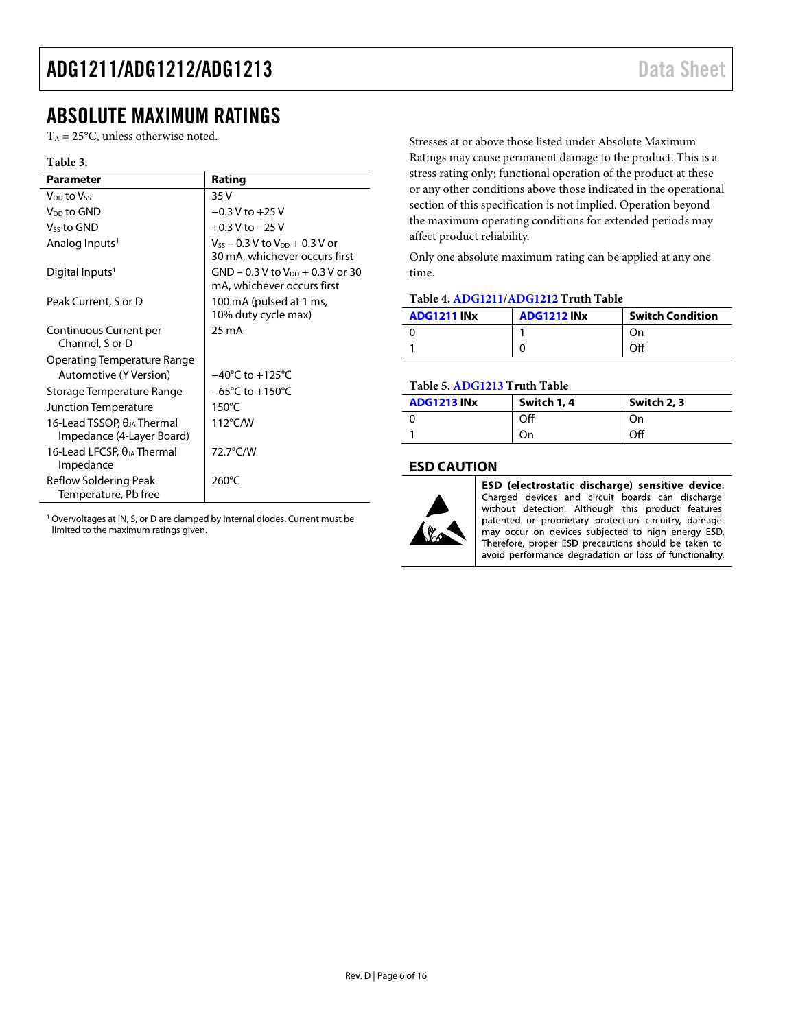### <span id="page-5-0"></span>ABSOLUTE MAXIMUM RATINGS

 $T_A = 25$ °C, unless otherwise noted.

#### **Table 3.**

| <b>Parameter</b>                                                  | Rating                                                                   |
|-------------------------------------------------------------------|--------------------------------------------------------------------------|
| V <sub>DD</sub> to Vss                                            | 35 V                                                                     |
| V <sub>DD</sub> to GND                                            | $-0.3 V$ to $+25 V$                                                      |
| Vss to GND                                                        | $+0.3$ V to $-25$ V                                                      |
| Analog Inputs <sup>1</sup>                                        | $V_{SS}$ – 0.3 V to $V_{DD}$ + 0.3 V or<br>30 mA, whichever occurs first |
| Digital Inputs <sup>1</sup>                                       | $GND - 0.3 V$ to $V_{DD} + 0.3 V$ or 30<br>mA, whichever occurs first    |
| Peak Current, S or D                                              | 100 mA (pulsed at 1 ms,<br>10% duty cycle max)                           |
| Continuous Current per<br>Channel, S or D                         | 25 mA                                                                    |
| Operating Temperature Range                                       |                                                                          |
| Automotive (Y Version)                                            | $-40^{\circ}$ C to $+125^{\circ}$ C                                      |
| Storage Temperature Range                                         | $-65^{\circ}$ C to $+150^{\circ}$ C                                      |
| Junction Temperature                                              | $150^{\circ}$ C                                                          |
| 16-Lead TSSOP, $\theta_{JA}$ Thermal<br>Impedance (4-Layer Board) | $112^{\circ}$ C/W                                                        |
| 16-Lead LFCSP, θ』A Thermal<br>Impedance                           | 72.7°C/W                                                                 |
| Reflow Soldering Peak<br>Temperature, Pb free                     | 260°C                                                                    |

<sup>1</sup> Overvoltages at IN, S, or D are clamped by internal diodes. Current must be limited to the maximum ratings given.

Stresses at or above those listed under Absolute Maximum Ratings may cause permanent damage to the product. This is a stress rating only; functional operation of the product at these or any other conditions above those indicated in the operational section of this specification is not implied. Operation beyond the maximum operating conditions for extended periods may affect product reliability.

Only one absolute maximum rating can be applied at any one time.

#### **Table 4[. ADG1211/](http://www.analog.com/ADG1211?doc=ADG1211_1212_1213.pdf)[ADG1212](http://www.analog.com/ADG1212?doc=ADG1211_1212_1213.pdf) Truth Table**

| <b>ADG1211 INx</b> | <b>ADG1212 INx</b> | <b>Switch Condition</b> |
|--------------------|--------------------|-------------------------|
| 0                  |                    |                         |
|                    |                    | Off                     |

#### **Table 5[. ADG1213](http://www.analog.com/ADG1213?doc=ADG1211_1212_1213.pdf) Truth Table**

| <b>ADG1213 INX</b> | Switch 1, 4 | Switch 2, 3 |
|--------------------|-------------|-------------|
|                    | Off         | On          |
|                    | On          | Off         |

#### <span id="page-5-1"></span>**ESD CAUTION**



ESD (electrostatic discharge) sensitive device. Charged devices and circuit boards can discharge without detection. Although this product features patented or proprietary protection circuitry, damage may occur on devices subjected to high energy ESD. Therefore, proper ESD precautions should be taken to avoid performance degradation or loss of functionality.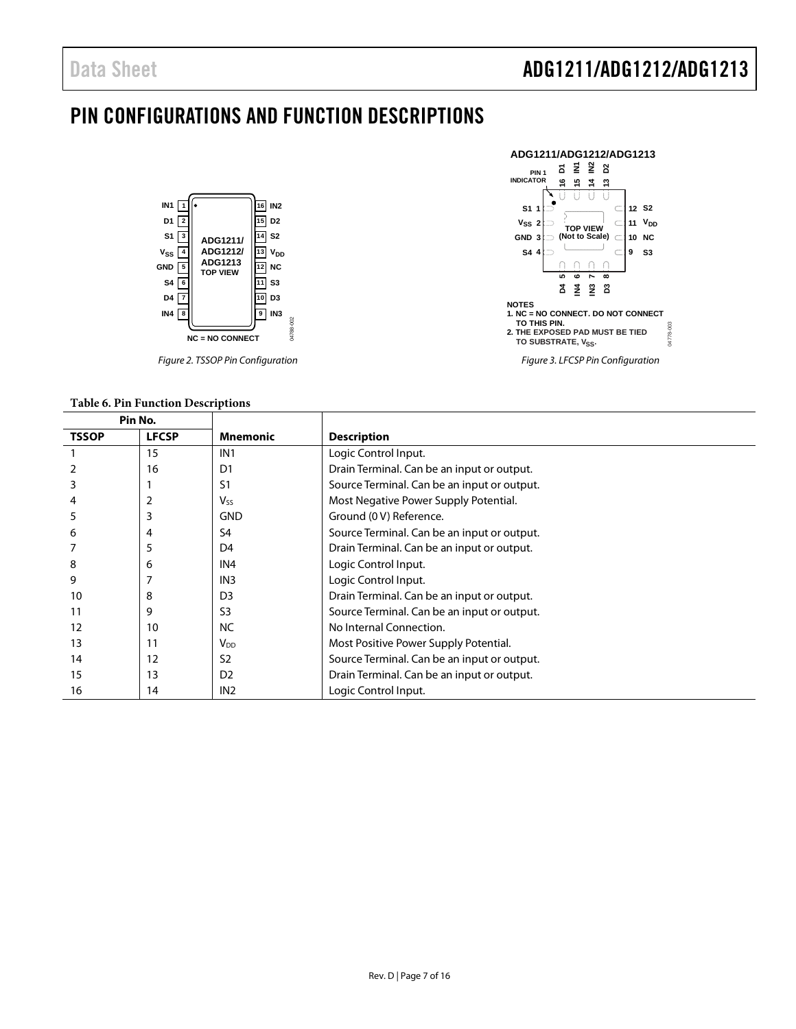### <span id="page-6-0"></span>PIN CONFIGURATIONS AND FUNCTION DESCRIPTIONS



*Figure 2. TSSOP Pin Configuration*

#### **Table 6. Pin Function Descriptions**



|       | Pin No.      |                 |                                             |
|-------|--------------|-----------------|---------------------------------------------|
| TSSOP | <b>LFCSP</b> | <b>Mnemonic</b> | <b>Description</b>                          |
|       | 15           | IN <sub>1</sub> | Logic Control Input.                        |
|       | 16           | D <sub>1</sub>  | Drain Terminal. Can be an input or output.  |
|       |              | S <sub>1</sub>  | Source Terminal. Can be an input or output. |
|       |              | <b>V</b> ss     | Most Negative Power Supply Potential.       |
|       | 3            | <b>GND</b>      | Ground (0 V) Reference.                     |
| 6     | 4            | S4              | Source Terminal. Can be an input or output. |
|       | 5            | D <sub>4</sub>  | Drain Terminal. Can be an input or output.  |
| 8     | 6            | IN <sub>4</sub> | Logic Control Input.                        |
| 9     |              | IN <sub>3</sub> | Logic Control Input.                        |
| 10    | 8            | D <sub>3</sub>  | Drain Terminal. Can be an input or output.  |
| 11    | 9            | S <sub>3</sub>  | Source Terminal. Can be an input or output. |
| 12    | 10           | <b>NC</b>       | No Internal Connection.                     |
| 13    | 11           | $V_{DD}$        | Most Positive Power Supply Potential.       |
| 14    | 12           | S <sub>2</sub>  | Source Terminal. Can be an input or output. |
| 15    | 13           | D <sub>2</sub>  | Drain Terminal. Can be an input or output.  |
| 16    | 14           | IN <sub>2</sub> | Logic Control Input.                        |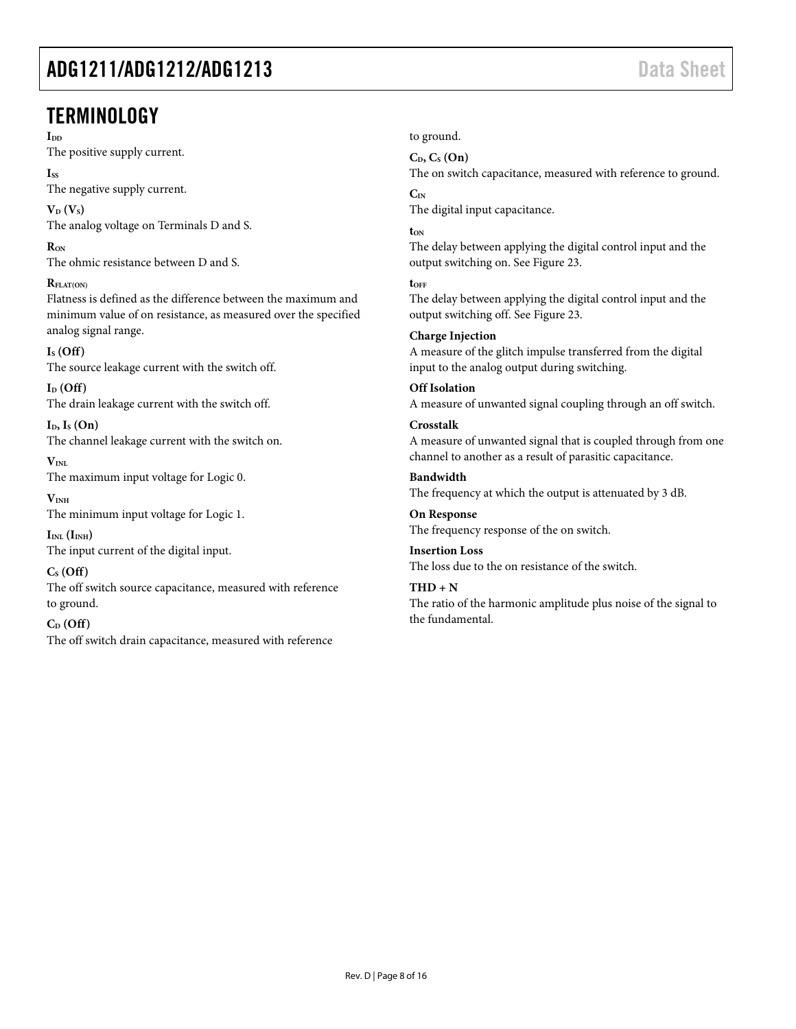### <span id="page-7-0"></span>**TERMINOLOGY**

I<sub>DD</sub>

The positive supply current.

**ISS**

The negative supply current.

 $V_D$   $(V_S)$ The analog voltage on Terminals D and S.

**RON** The ohmic resistance between D and S.

**RFLAT(ON)**

Flatness is defined as the difference between the maximum and minimum value of on resistance, as measured over the specified analog signal range.

#### **IS (Off)**

The source leakage current with the switch off.

 $I_D$  (Off) The drain leakage current with the switch off.

**ID, IS (On)** The channel leakage current with the switch on.

 $V_{\text{INI}}$ The maximum input voltage for Logic 0.

 $V<sub>INH</sub>$ The minimum input voltage for Logic 1.

 $I_{INL}$   $(I_{INH})$ The input current of the digital input.

**CS (Off)**  The off switch source capacitance, measured with reference to ground.

#### **CD (Off)**

The off switch drain capacitance, measured with reference

to ground.

### **CD, CS (On)**

The on switch capacitance, measured with reference to ground. **CIN**

The digital input capacitance.

**tON**

The delay between applying the digital control input and the output switching on. See [Figure 23.](#page-11-4) 

**tOFF**

The delay between applying the digital control input and the output switching off. Se[e Figure 23.](#page-11-4)

**Charge Injection**  A measure of the glitch impulse transferred from the digital input to the analog output during switching.

**Off Isolation**  A measure of unwanted signal coupling through an off switch. **Crosstalk** 

A measure of unwanted signal that is coupled through from one channel to another as a result of parasitic capacitance.

**Bandwidth**  The frequency at which the output is attenuated by 3 dB.

**On Response**  The frequency response of the on switch.

**Insertion Loss** The loss due to the on resistance of the switch.

 $THD + N$ The ratio of the harmonic amplitude plus noise of the signal to the fundamental.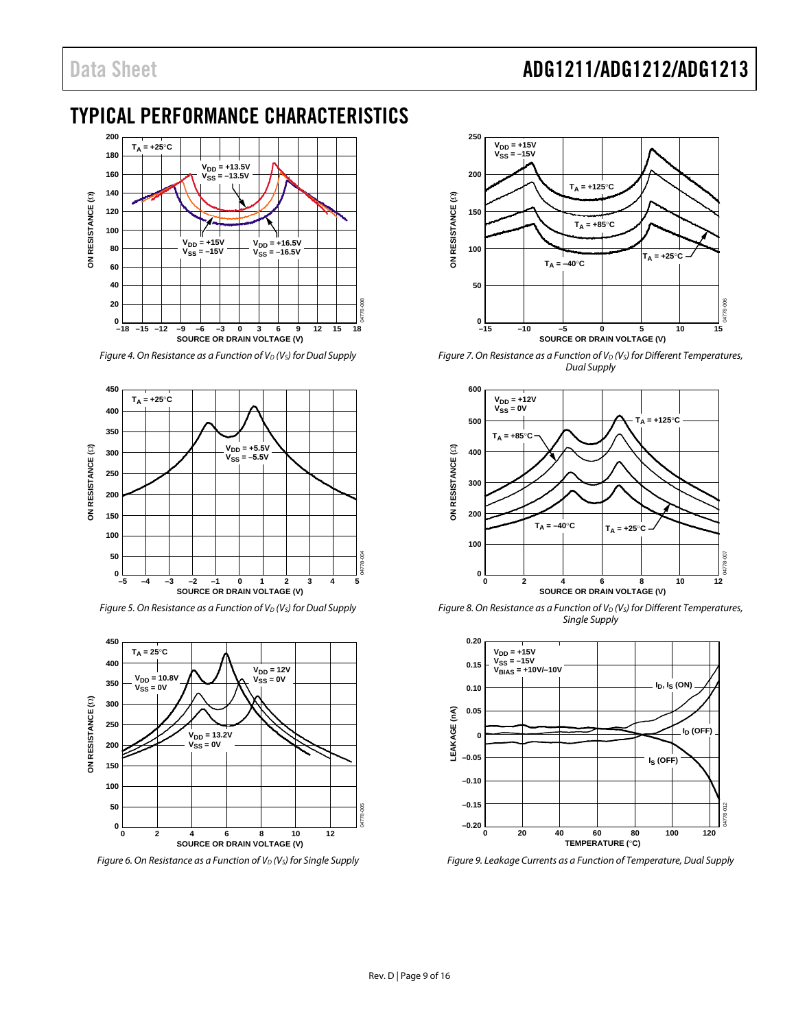### Data Sheet **ADG1211/ADG1212/ADG1213**

### <span id="page-8-0"></span>TYPICAL PERFORMANCE CHARACTERISTICS



*Figure 4. On Resistance as a Function of V<sub>D</sub> (V<sub>s</sub>) for Dual Supply* 



*Figure 5. On Resistance as a Function of V<sub>D</sub> (V<sub>s</sub>) for Dual Supply* 



*Figure 6. On Resistance as a Function of V<sub>D</sub> (V<sub>S</sub>) for Single Supply* 



*Figure 7. On Resistance as a Function of V<sub>D</sub> (V<sub>s</sub>) for Different Temperatures, Dual Supply*



*Figure 8. On Resistance as a Function of V<sub>D</sub> (V<sub>S</sub>) for Different Temperatures, Single Supply*



*Figure 9. Leakage Currents as a Function of Temperature, Dual Supply*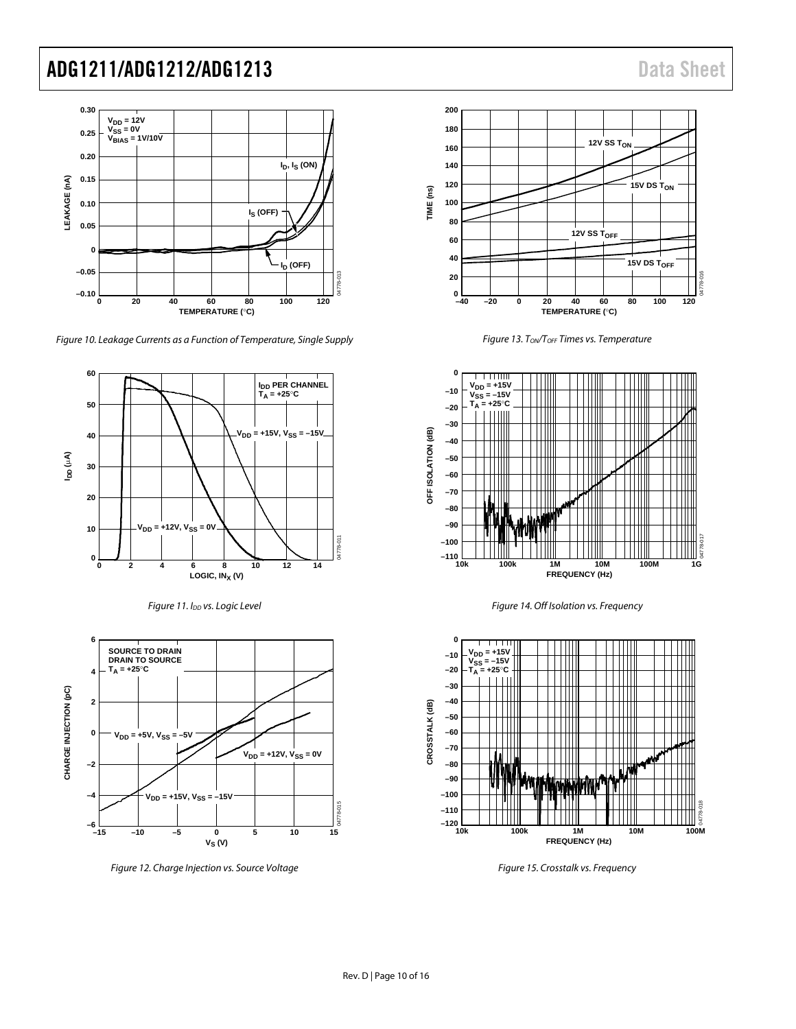

*Figure 10. Leakage Currents as a Function of Temperature, Single Supply*







*Figure 12. Charge Injection vs. Source Voltage*



*Figure 13. TON/TOFF Times vs. Temperature*







*Figure 15. Crosstalk vs. Frequency*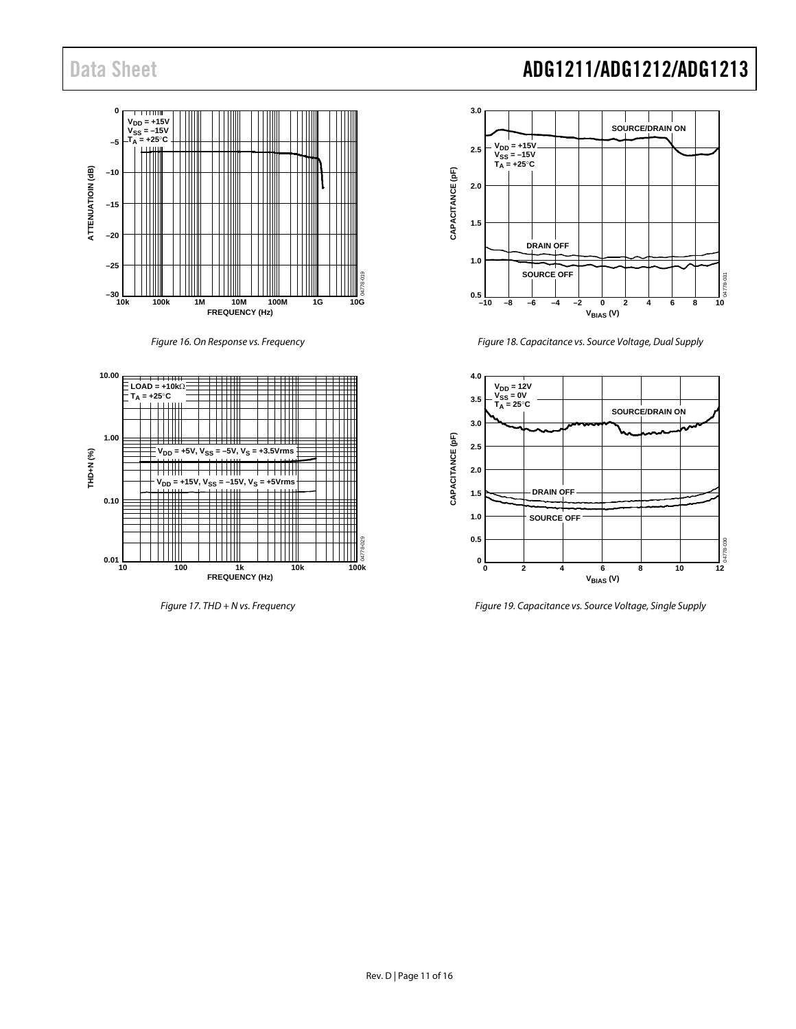







# Data Sheet **ADG1211/ADG1212/ADG1213**



*Figure 18. Capacitance vs. Source Voltage, Dual Supply*



*Figure 19. Capacitance vs. Source Voltage, Single Supply*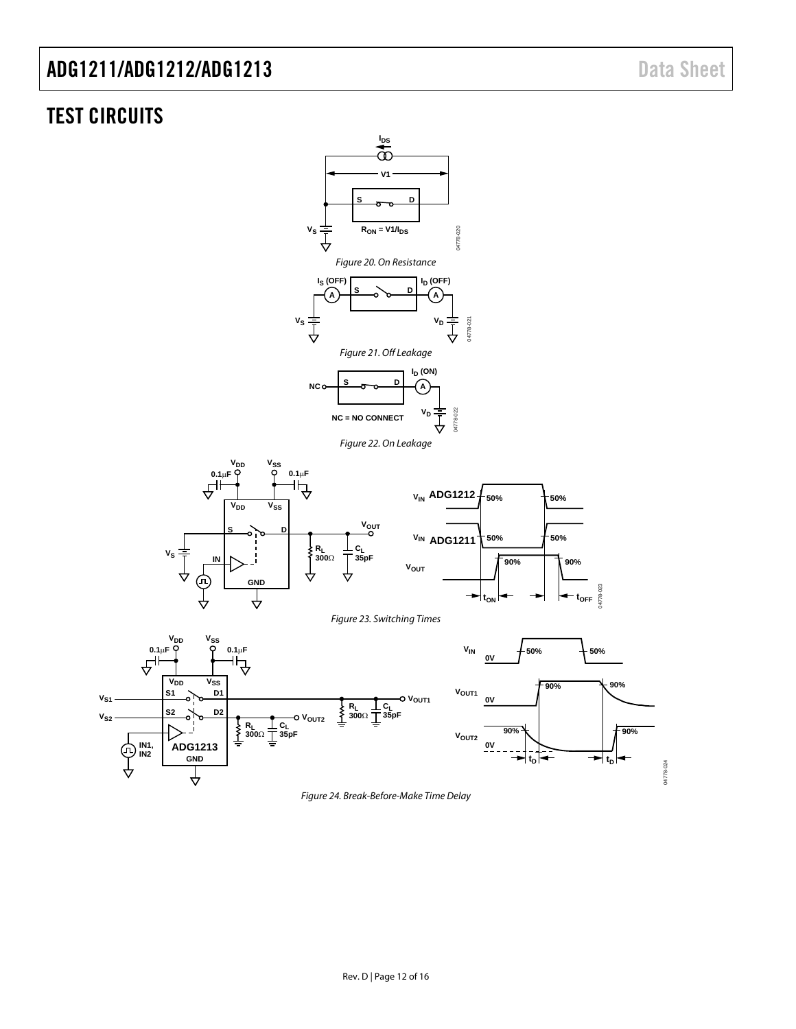### <span id="page-11-0"></span>TEST CIRCUITS

<span id="page-11-5"></span><span id="page-11-4"></span><span id="page-11-3"></span><span id="page-11-2"></span><span id="page-11-1"></span>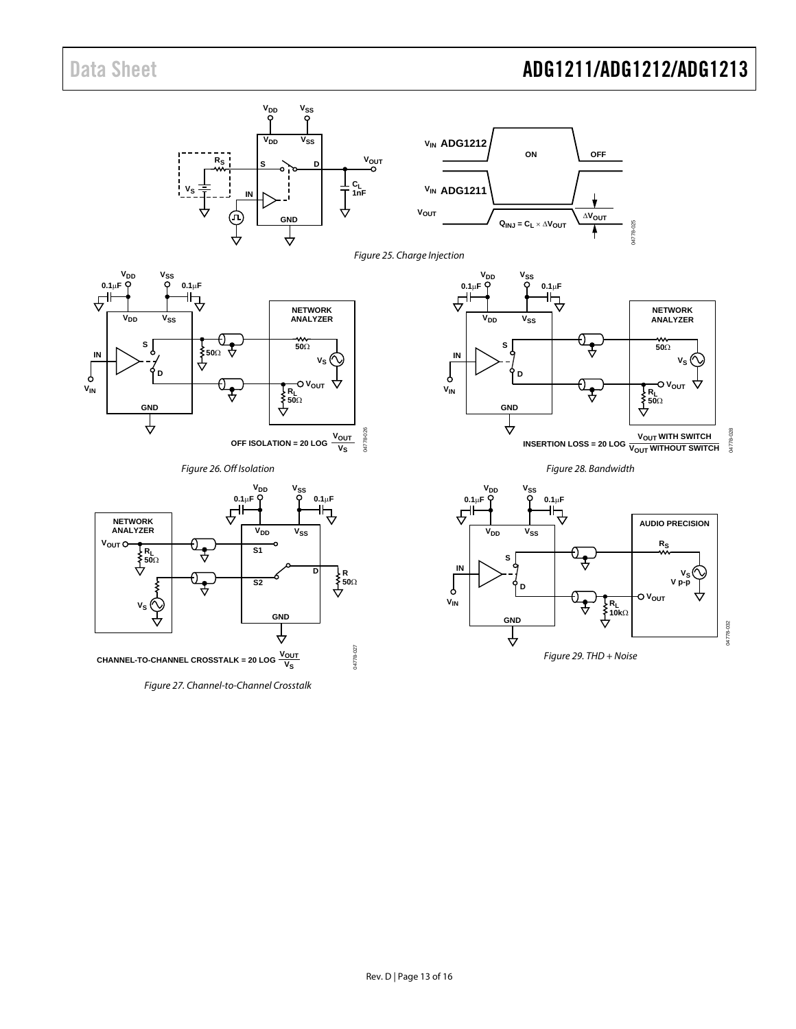## Data Sheet **ADG1211/ADG1212/ADG1213**

<span id="page-12-3"></span><span id="page-12-2"></span><span id="page-12-1"></span><span id="page-12-0"></span>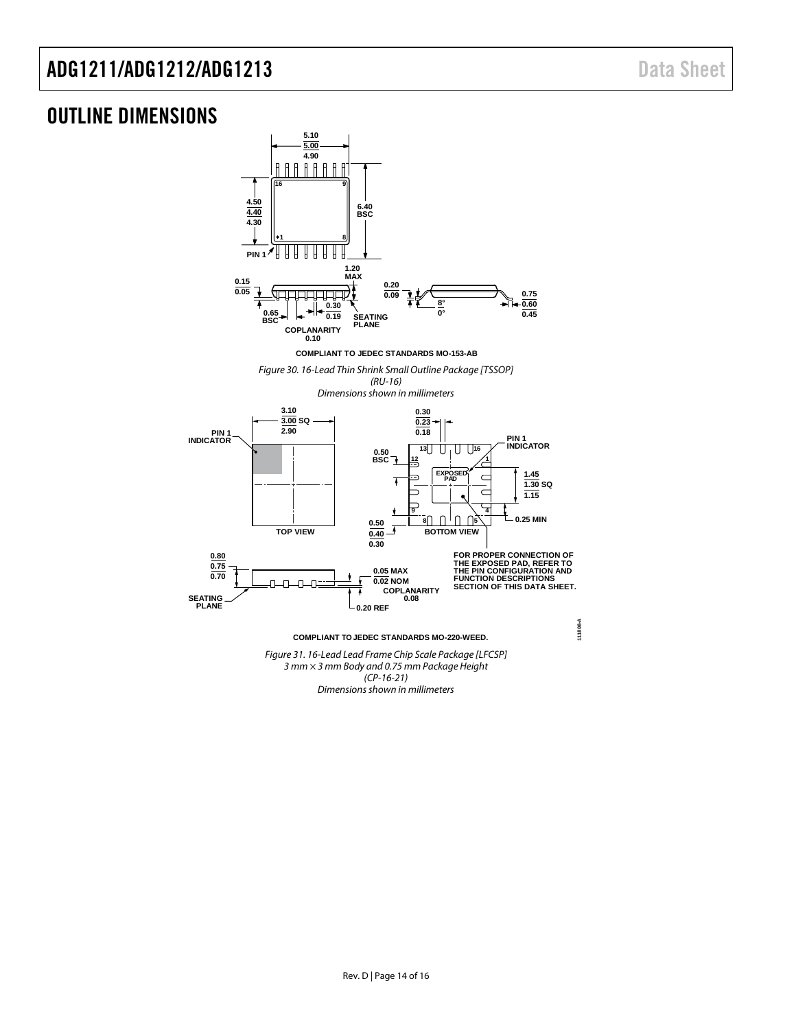### <span id="page-13-0"></span>OUTLINE DIMENSIONS



*Dimensions shown in millimeters*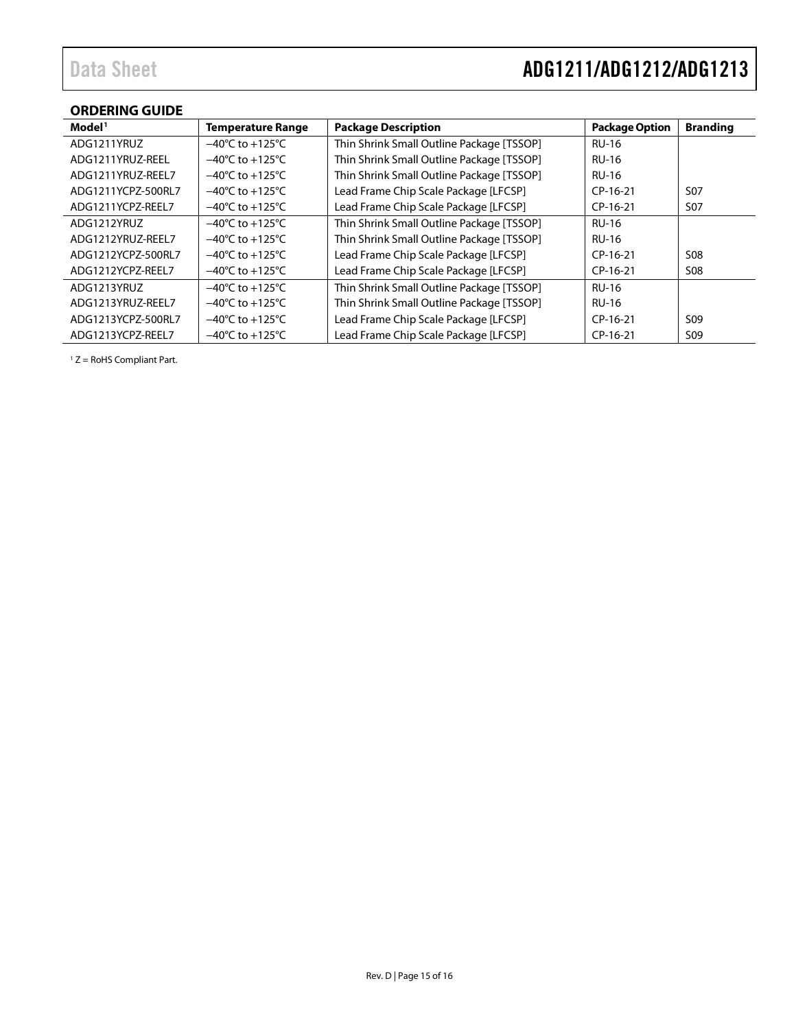### <span id="page-14-0"></span>**ORDERING GUIDE**

| Model <sup>1</sup> | <b>Temperature Range</b>            | <b>Package Description</b>                | <b>Package Option</b> | <b>Branding</b> |
|--------------------|-------------------------------------|-------------------------------------------|-----------------------|-----------------|
| ADG1211YRUZ        | $-40^{\circ}$ C to $+125^{\circ}$ C | Thin Shrink Small Outline Package [TSSOP] | <b>RU-16</b>          |                 |
| ADG1211YRUZ-REEL   | $-40^{\circ}$ C to $+125^{\circ}$ C | Thin Shrink Small Outline Package [TSSOP] | <b>RU-16</b>          |                 |
| ADG1211YRUZ-REEL7  | $-40^{\circ}$ C to $+125^{\circ}$ C | Thin Shrink Small Outline Package [TSSOP] | <b>RU-16</b>          |                 |
| ADG1211YCPZ-500RL7 | $-40^{\circ}$ C to $+125^{\circ}$ C | Lead Frame Chip Scale Package [LFCSP]     | $CP-16-21$            | S <sub>07</sub> |
| ADG1211YCPZ-REEL7  | $-40^{\circ}$ C to $+125^{\circ}$ C | Lead Frame Chip Scale Package [LFCSP]     | $CP-16-21$            | <b>S07</b>      |
| ADG1212YRUZ        | $-40^{\circ}$ C to $+125^{\circ}$ C | Thin Shrink Small Outline Package [TSSOP] | <b>RU-16</b>          |                 |
| ADG1212YRUZ-REEL7  | $-40^{\circ}$ C to $+125^{\circ}$ C | Thin Shrink Small Outline Package [TSSOP] | <b>RU-16</b>          |                 |
| ADG1212YCPZ-500RL7 | $-40^{\circ}$ C to $+125^{\circ}$ C | Lead Frame Chip Scale Package [LFCSP]     | $CP-16-21$            | <b>S08</b>      |
| ADG1212YCPZ-REEL7  | $-40^{\circ}$ C to $+125^{\circ}$ C | Lead Frame Chip Scale Package [LFCSP]     | $CP-16-21$            | <b>S08</b>      |
| ADG1213YRUZ        | $-40^{\circ}$ C to $+125^{\circ}$ C | Thin Shrink Small Outline Package [TSSOP] | <b>RU-16</b>          |                 |
| ADG1213YRUZ-REEL7  | $-40^{\circ}$ C to $+125^{\circ}$ C | Thin Shrink Small Outline Package [TSSOP] | <b>RU-16</b>          |                 |
| ADG1213YCPZ-500RL7 | $-40^{\circ}$ C to $+125^{\circ}$ C | Lead Frame Chip Scale Package [LFCSP]     | $CP-16-21$            | S <sub>09</sub> |
| ADG1213YCPZ-REEL7  | $-40^{\circ}$ C to $+125^{\circ}$ C | Lead Frame Chip Scale Package [LFCSP]     | CP-16-21              | S <sub>09</sub> |

 $1 Z =$  RoHS Compliant Part.